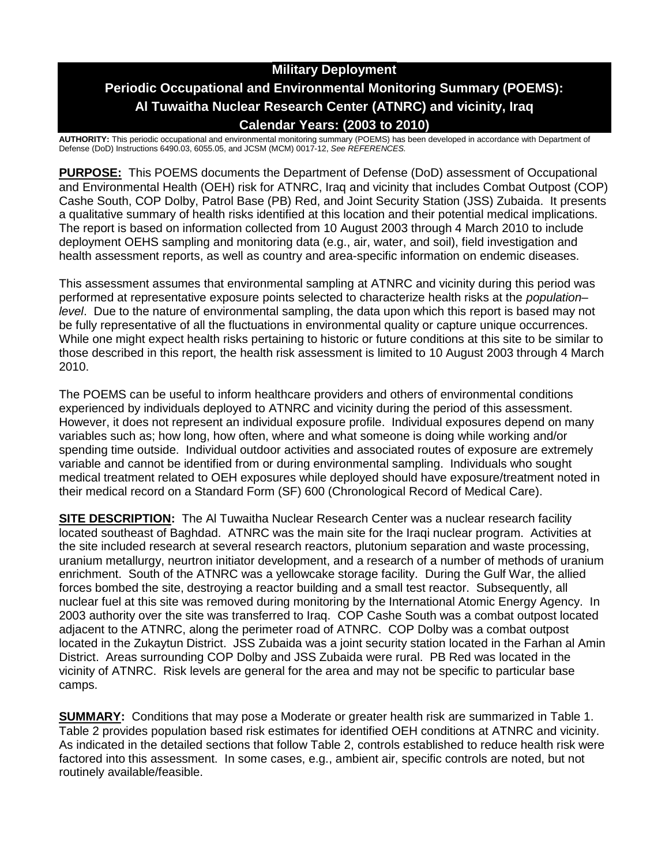# **Military Deployment Periodic Occupational and Environmental Monitoring Summary (POEMS): Al Tuwaitha Nuclear Research Center (ATNRC) and vicinity, Iraq Calendar Years: (2003 to 2010)**

**AUTHORITY:** This periodic occupational and environmental monitoring summary (POEMS) has been developed in accordance with Department of Defense (DoD) Instructions 6490.03, 6055.05, and JCSM (MCM) 0017-12, *See REFERENCES.*

**PURPOSE:** This POEMS documents the Department of Defense (DoD) assessment of Occupational and Environmental Health (OEH) risk for ATNRC, Iraq and vicinity that includes Combat Outpost (COP) Cashe South, COP Dolby, Patrol Base (PB) Red, and Joint Security Station (JSS) Zubaida. It presents a qualitative summary of health risks identified at this location and their potential medical implications. The report is based on information collected from 10 August 2003 through 4 March 2010 to include deployment OEHS sampling and monitoring data (e.g., air, water, and soil), field investigation and health assessment reports, as well as country and area-specific information on endemic diseases.

This assessment assumes that environmental sampling at ATNRC and vicinity during this period was performed at representative exposure points selected to characterize health risks at the *population– level*. Due to the nature of environmental sampling, the data upon which this report is based may not be fully representative of all the fluctuations in environmental quality or capture unique occurrences. While one might expect health risks pertaining to historic or future conditions at this site to be similar to those described in this report, the health risk assessment is limited to 10 August 2003 through 4 March 2010.

The POEMS can be useful to inform healthcare providers and others of environmental conditions experienced by individuals deployed to ATNRC and vicinity during the period of this assessment. However, it does not represent an individual exposure profile. Individual exposures depend on many variables such as; how long, how often, where and what someone is doing while working and/or spending time outside. Individual outdoor activities and associated routes of exposure are extremely variable and cannot be identified from or during environmental sampling. Individuals who sought medical treatment related to OEH exposures while deployed should have exposure/treatment noted in their medical record on a Standard Form (SF) 600 (Chronological Record of Medical Care).

**SITE DESCRIPTION:** The AI Tuwaitha Nuclear Research Center was a nuclear research facility located southeast of Baghdad. ATNRC was the main site for the Iraqi nuclear program. Activities at the site included research at several research reactors, plutonium separation and waste processing, uranium metallurgy, neurtron initiator development, and a research of a number of methods of uranium enrichment. South of the ATNRC was a yellowcake storage facility. During the Gulf War, the allied forces bombed the site, destroying a reactor building and a small test reactor. Subsequently, all nuclear fuel at this site was removed during monitoring by the International Atomic Energy Agency. In 2003 authority over the site was transferred to Iraq. COP Cashe South was a combat outpost located adjacent to the ATNRC, along the perimeter road of ATNRC. COP Dolby was a combat outpost located in the Zukaytun District. JSS Zubaida was a joint security station located in the Farhan al Amin District. Areas surrounding COP Dolby and JSS Zubaida were rural. PB Red was located in the vicinity of ATNRC. Risk levels are general for the area and may not be specific to particular base camps.

**SUMMARY:** Conditions that may pose a Moderate or greater health risk are summarized in Table 1. Table 2 provides population based risk estimates for identified OEH conditions at ATNRC and vicinity. As indicated in the detailed sections that follow Table 2, controls established to reduce health risk were factored into this assessment. In some cases, e.g., ambient air, specific controls are noted, but not routinely available/feasible.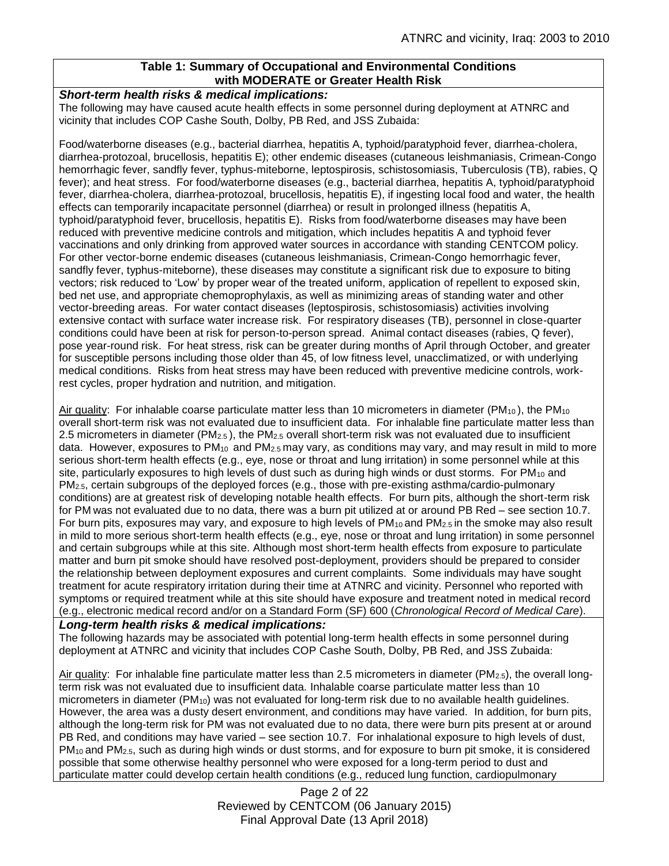# **Table 1: Summary of Occupational and Environmental Conditions with MODERATE or Greater Health Risk**

#### *Short-term health risks & medical implications:*

The following may have caused acute health effects in some personnel during deployment at ATNRC and vicinity that includes COP Cashe South, Dolby, PB Red, and JSS Zubaida:

Food/waterborne diseases (e.g., bacterial diarrhea, hepatitis A, typhoid/paratyphoid fever, diarrhea-cholera, diarrhea-protozoal, brucellosis, hepatitis E); other endemic diseases (cutaneous leishmaniasis, Crimean-Congo hemorrhagic fever, sandfly fever, typhus-miteborne, leptospirosis, schistosomiasis, Tuberculosis (TB), rabies, Q fever); and heat stress. For food/waterborne diseases (e.g., bacterial diarrhea, hepatitis A, typhoid/paratyphoid fever, diarrhea-cholera, diarrhea-protozoal, brucellosis, hepatitis E), if ingesting local food and water, the health effects can temporarily incapacitate personnel (diarrhea) or result in prolonged illness (hepatitis A, typhoid/paratyphoid fever, brucellosis, hepatitis E). Risks from food/waterborne diseases may have been reduced with preventive medicine controls and mitigation, which includes hepatitis A and typhoid fever vaccinations and only drinking from approved water sources in accordance with standing CENTCOM policy. For other vector-borne endemic diseases (cutaneous leishmaniasis, Crimean-Congo hemorrhagic fever, sandfly fever, typhus-miteborne), these diseases may constitute a significant risk due to exposure to biting vectors; risk reduced to 'Low' by proper wear of the treated uniform, application of repellent to exposed skin, bed net use, and appropriate chemoprophylaxis, as well as minimizing areas of standing water and other vector-breeding areas. For water contact diseases (leptospirosis, schistosomiasis) activities involving extensive contact with surface water increase risk. For respiratory diseases (TB), personnel in close-quarter conditions could have been at risk for person-to-person spread. Animal contact diseases (rabies, Q fever), pose year-round risk. For heat stress, risk can be greater during months of April through October, and greater for susceptible persons including those older than 45, of low fitness level, unacclimatized, or with underlying medical conditions. Risks from heat stress may have been reduced with preventive medicine controls, workrest cycles, proper hydration and nutrition, and mitigation.

Air quality: For inhalable coarse particulate matter less than 10 micrometers in diameter ( $PM_{10}$ ), the  $PM_{10}$ overall short-term risk was not evaluated due to insufficient data. For inhalable fine particulate matter less than 2.5 micrometers in diameter (PM2.5 ), the PM2.5 overall short-term risk was not evaluated due to insufficient data. However, exposures to  $PM_{10}$  and  $PM_{2.5}$  may vary, as conditions may vary, and may result in mild to more serious short-term health effects (e.g., eye, nose or throat and lung irritation) in some personnel while at this site, particularly exposures to high levels of dust such as during high winds or dust storms. For PM<sub>10</sub> and PM2.5, certain subgroups of the deployed forces (e.g., those with pre-existing asthma/cardio-pulmonary conditions) are at greatest risk of developing notable health effects. For burn pits, although the short-term risk for PM was not evaluated due to no data, there was a burn pit utilized at or around PB Red – see section 10.7. For burn pits, exposures may vary, and exposure to high levels of PM<sub>10</sub> and PM<sub>2.5</sub> in the smoke may also result in mild to more serious short-term health effects (e.g., eye, nose or throat and lung irritation) in some personnel and certain subgroups while at this site. Although most short-term health effects from exposure to particulate matter and burn pit smoke should have resolved post-deployment, providers should be prepared to consider the relationship between deployment exposures and current complaints. Some individuals may have sought treatment for acute respiratory irritation during their time at ATNRC and vicinity. Personnel who reported with symptoms or required treatment while at this site should have exposure and treatment noted in medical record (e.g., electronic medical record and/or on a Standard Form (SF) 600 (*Chronological Record of Medical Care*).

### *Long-term health risks & medical implications:*

The following hazards may be associated with potential long-term health effects in some personnel during deployment at ATNRC and vicinity that includes COP Cashe South, Dolby, PB Red, and JSS Zubaida:

Air quality: For inhalable fine particulate matter less than 2.5 micrometers in diameter ( $PM_{2.5}$ ), the overall longterm risk was not evaluated due to insufficient data. Inhalable coarse particulate matter less than 10 micrometers in diameter (PM<sub>10</sub>) was not evaluated for long-term risk due to no available health guidelines. However, the area was a dusty desert environment, and conditions may have varied. In addition, for burn pits, although the long-term risk for PM was not evaluated due to no data, there were burn pits present at or around PB Red, and conditions may have varied – see section 10.7. For inhalational exposure to high levels of dust, PM10 and PM2.5, such as during high winds or dust storms, and for exposure to burn pit smoke, it is considered possible that some otherwise healthy personnel who were exposed for a long-term period to dust and particulate matter could develop certain health conditions (e.g., reduced lung function, cardiopulmonary

> Page 2 of 22 Reviewed by CENTCOM (06 January 2015) Final Approval Date (13 April 2018)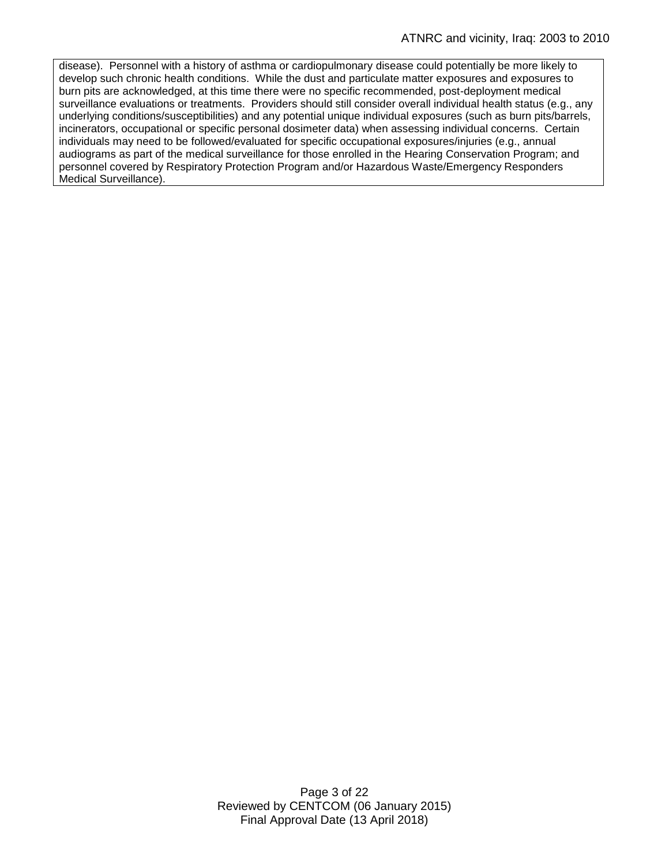disease). Personnel with a history of asthma or cardiopulmonary disease could potentially be more likely to develop such chronic health conditions. While the dust and particulate matter exposures and exposures to burn pits are acknowledged, at this time there were no specific recommended, post-deployment medical surveillance evaluations or treatments. Providers should still consider overall individual health status (e.g., any underlying conditions/susceptibilities) and any potential unique individual exposures (such as burn pits/barrels, incinerators, occupational or specific personal dosimeter data) when assessing individual concerns. Certain individuals may need to be followed/evaluated for specific occupational exposures/injuries (e.g., annual audiograms as part of the medical surveillance for those enrolled in the Hearing Conservation Program; and personnel covered by Respiratory Protection Program and/or Hazardous Waste/Emergency Responders Medical Surveillance).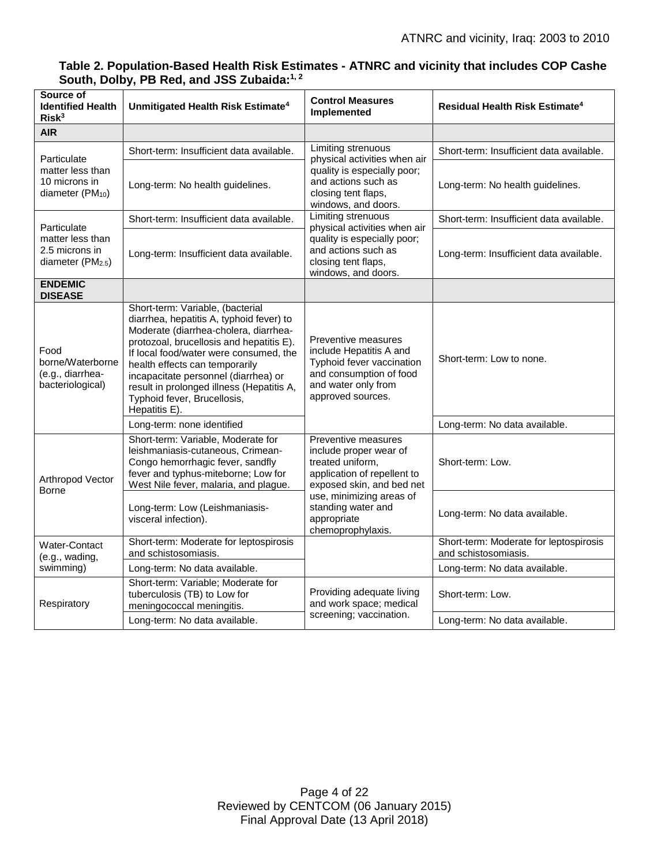| Source of<br><b>Identified Health</b><br>Risk <sup>3</sup>                         | Unmitigated Health Risk Estimate <sup>4</sup>                                                                                                                                                                                                                                                                                                                                      | <b>Control Measures</b><br>Implemented                                                                                                                                                                              | <b>Residual Health Risk Estimate<sup>4</sup></b>               |
|------------------------------------------------------------------------------------|------------------------------------------------------------------------------------------------------------------------------------------------------------------------------------------------------------------------------------------------------------------------------------------------------------------------------------------------------------------------------------|---------------------------------------------------------------------------------------------------------------------------------------------------------------------------------------------------------------------|----------------------------------------------------------------|
| <b>AIR</b>                                                                         |                                                                                                                                                                                                                                                                                                                                                                                    |                                                                                                                                                                                                                     |                                                                |
| Particulate<br>matter less than<br>10 microns in<br>diameter (PM <sub>10</sub> )   | Short-term: Insufficient data available.                                                                                                                                                                                                                                                                                                                                           | Limiting strenuous<br>physical activities when air<br>quality is especially poor;<br>and actions such as<br>closing tent flaps.<br>windows, and doors.                                                              | Short-term: Insufficient data available.                       |
|                                                                                    | Long-term: No health guidelines.                                                                                                                                                                                                                                                                                                                                                   |                                                                                                                                                                                                                     | Long-term: No health guidelines.                               |
| Particulate<br>matter less than<br>2.5 microns in<br>diameter (PM <sub>2.5</sub> ) | Short-term: Insufficient data available.                                                                                                                                                                                                                                                                                                                                           | <b>Limiting strenuous</b><br>physical activities when air<br>quality is especially poor;<br>and actions such as<br>closing tent flaps,<br>windows, and doors.                                                       | Short-term: Insufficient data available.                       |
|                                                                                    | Long-term: Insufficient data available.                                                                                                                                                                                                                                                                                                                                            |                                                                                                                                                                                                                     | Long-term: Insufficient data available.                        |
| <b>ENDEMIC</b><br><b>DISEASE</b>                                                   |                                                                                                                                                                                                                                                                                                                                                                                    |                                                                                                                                                                                                                     |                                                                |
| Food<br>borne/Waterborne<br>(e.g., diarrhea-<br>bacteriological)                   | Short-term: Variable, (bacterial<br>diarrhea, hepatitis A, typhoid fever) to<br>Moderate (diarrhea-cholera, diarrhea-<br>protozoal, brucellosis and hepatitis E).<br>If local food/water were consumed, the<br>health effects can temporarily<br>incapacitate personnel (diarrhea) or<br>result in prolonged illness (Hepatitis A,<br>Typhoid fever, Brucellosis,<br>Hepatitis E). | Preventive measures<br>include Hepatitis A and<br>Typhoid fever vaccination<br>and consumption of food<br>and water only from<br>approved sources.                                                                  | Short-term: Low to none.                                       |
|                                                                                    | Long-term: none identified                                                                                                                                                                                                                                                                                                                                                         |                                                                                                                                                                                                                     | Long-term: No data available.                                  |
| Arthropod Vector<br>Borne                                                          | Short-term: Variable, Moderate for<br>leishmaniasis-cutaneous, Crimean-<br>Congo hemorrhagic fever, sandfly<br>fever and typhus-miteborne; Low for<br>West Nile fever, malaria, and plague.                                                                                                                                                                                        | Preventive measures<br>include proper wear of<br>treated uniform,<br>application of repellent to<br>exposed skin, and bed net<br>use, minimizing areas of<br>standing water and<br>appropriate<br>chemoprophylaxis. | Short-term: Low.                                               |
|                                                                                    | Long-term: Low (Leishmaniasis-<br>visceral infection).                                                                                                                                                                                                                                                                                                                             |                                                                                                                                                                                                                     | Long-term: No data available.                                  |
| Water-Contact<br>(e.g., wading,<br>swimming)                                       | Short-term: Moderate for leptospirosis<br>and schistosomiasis.                                                                                                                                                                                                                                                                                                                     |                                                                                                                                                                                                                     | Short-term: Moderate for leptospirosis<br>and schistosomiasis. |
|                                                                                    | Long-term: No data available.                                                                                                                                                                                                                                                                                                                                                      |                                                                                                                                                                                                                     | Long-term: No data available.                                  |
| Respiratory                                                                        | Short-term: Variable; Moderate for<br>tuberculosis (TB) to Low for<br>meningococcal meningitis.                                                                                                                                                                                                                                                                                    | Providing adequate living<br>and work space; medical<br>screening; vaccination.                                                                                                                                     | Short-term: Low.                                               |
|                                                                                    | Long-term: No data available.                                                                                                                                                                                                                                                                                                                                                      |                                                                                                                                                                                                                     | Long-term: No data available.                                  |

# **Table 2. Population-Based Health Risk Estimates - ATNRC and vicinity that includes COP Cashe South, Dolby, PB Red, and JSS Zubaida: 1, 2**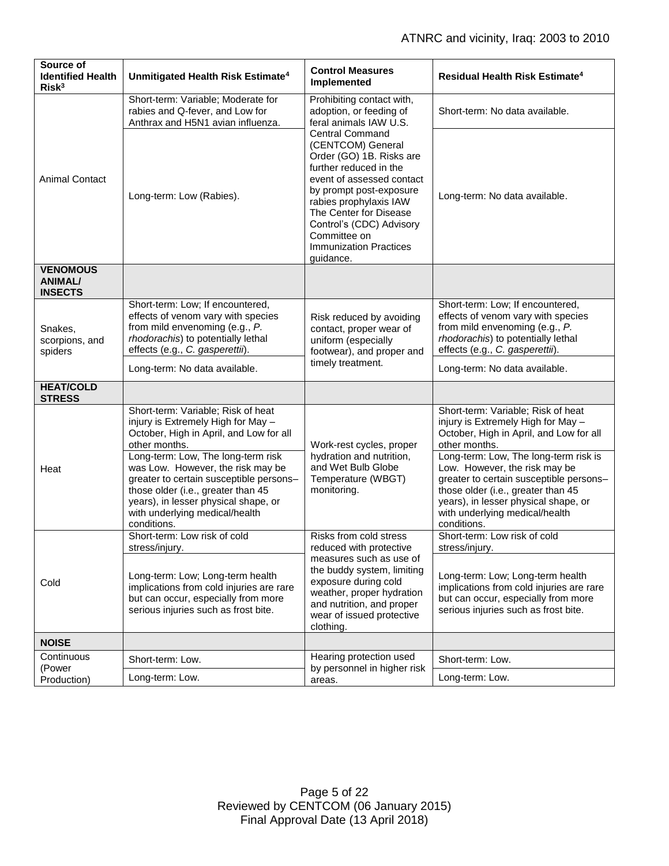| Source of<br><b>Identified Health</b><br>Risk <sup>3</sup> | Unmitigated Health Risk Estimate <sup>4</sup>                                                                                                                                                                                                     | <b>Control Measures</b><br>Implemented                                                                                                                                                                                                                                                                                                                                                    | <b>Residual Health Risk Estimate<sup>4</sup></b>                                                                                                                                                                                                 |
|------------------------------------------------------------|---------------------------------------------------------------------------------------------------------------------------------------------------------------------------------------------------------------------------------------------------|-------------------------------------------------------------------------------------------------------------------------------------------------------------------------------------------------------------------------------------------------------------------------------------------------------------------------------------------------------------------------------------------|--------------------------------------------------------------------------------------------------------------------------------------------------------------------------------------------------------------------------------------------------|
| <b>Animal Contact</b>                                      | Short-term: Variable; Moderate for<br>rabies and Q-fever, and Low for<br>Anthrax and H5N1 avian influenza.                                                                                                                                        | Prohibiting contact with,<br>adoption, or feeding of<br>feral animals IAW U.S.<br><b>Central Command</b><br>(CENTCOM) General<br>Order (GO) 1B. Risks are<br>further reduced in the<br>event of assessed contact<br>by prompt post-exposure<br>rabies prophylaxis IAW<br>The Center for Disease<br>Control's (CDC) Advisory<br>Committee on<br><b>Immunization Practices</b><br>guidance. | Short-term: No data available.                                                                                                                                                                                                                   |
|                                                            | Long-term: Low (Rabies).                                                                                                                                                                                                                          |                                                                                                                                                                                                                                                                                                                                                                                           | Long-term: No data available.                                                                                                                                                                                                                    |
| <b>VENOMOUS</b><br><b>ANIMAL/</b><br><b>INSECTS</b>        |                                                                                                                                                                                                                                                   |                                                                                                                                                                                                                                                                                                                                                                                           |                                                                                                                                                                                                                                                  |
| Snakes,<br>scorpions, and<br>spiders                       | Short-term: Low; If encountered,<br>effects of venom vary with species<br>from mild envenoming (e.g., P.<br>rhodorachis) to potentially lethal<br>effects (e.g., C. gasperettii).                                                                 | Risk reduced by avoiding<br>contact, proper wear of<br>uniform (especially<br>footwear), and proper and<br>timely treatment.                                                                                                                                                                                                                                                              | Short-term: Low; If encountered,<br>effects of venom vary with species<br>from mild envenoming (e.g., P.<br>rhodorachis) to potentially lethal<br>effects (e.g., C. gasperettii).                                                                |
|                                                            | Long-term: No data available.                                                                                                                                                                                                                     |                                                                                                                                                                                                                                                                                                                                                                                           | Long-term: No data available.                                                                                                                                                                                                                    |
| <b>HEAT/COLD</b><br><b>STRESS</b>                          |                                                                                                                                                                                                                                                   |                                                                                                                                                                                                                                                                                                                                                                                           |                                                                                                                                                                                                                                                  |
| Heat                                                       | Short-term: Variable; Risk of heat<br>injury is Extremely High for May -<br>October, High in April, and Low for all<br>other months.                                                                                                              | Work-rest cycles, proper<br>hydration and nutrition,<br>and Wet Bulb Globe<br>Temperature (WBGT)<br>monitoring.                                                                                                                                                                                                                                                                           | Short-term: Variable; Risk of heat<br>injury is Extremely High for May -<br>October, High in April, and Low for all<br>other months.                                                                                                             |
|                                                            | Long-term: Low, The long-term risk<br>was Low. However, the risk may be<br>greater to certain susceptible persons-<br>those older (i.e., greater than 45<br>years), in lesser physical shape, or<br>with underlying medical/health<br>conditions. |                                                                                                                                                                                                                                                                                                                                                                                           | Long-term: Low, The long-term risk is<br>Low. However, the risk may be<br>greater to certain susceptible persons-<br>those older (i.e., greater than 45<br>years), in lesser physical shape, or<br>with underlying medical/health<br>conditions. |
| Cold                                                       | Short-term: Low risk of cold<br>stress/injury.                                                                                                                                                                                                    | Risks from cold stress<br>reduced with protective                                                                                                                                                                                                                                                                                                                                         | Short-term: Low risk of cold<br>stress/injury.                                                                                                                                                                                                   |
|                                                            | Long-term: Low; Long-term health<br>implications from cold injuries are rare<br>but can occur, especially from more<br>serious injuries such as frost bite.                                                                                       | measures such as use of<br>the buddy system, limiting<br>exposure during cold<br>weather, proper hydration<br>and nutrition, and proper<br>wear of issued protective<br>clothing.                                                                                                                                                                                                         | Long-term: Low; Long-term health<br>implications from cold injuries are rare<br>but can occur, especially from more<br>serious injuries such as frost bite.                                                                                      |
| <b>NOISE</b>                                               |                                                                                                                                                                                                                                                   |                                                                                                                                                                                                                                                                                                                                                                                           |                                                                                                                                                                                                                                                  |
| Continuous<br>(Power                                       | Short-term: Low.                                                                                                                                                                                                                                  | Hearing protection used<br>by personnel in higher risk<br>areas.                                                                                                                                                                                                                                                                                                                          | Short-term: Low.                                                                                                                                                                                                                                 |
| Production)                                                | Long-term: Low.                                                                                                                                                                                                                                   |                                                                                                                                                                                                                                                                                                                                                                                           | Long-term: Low.                                                                                                                                                                                                                                  |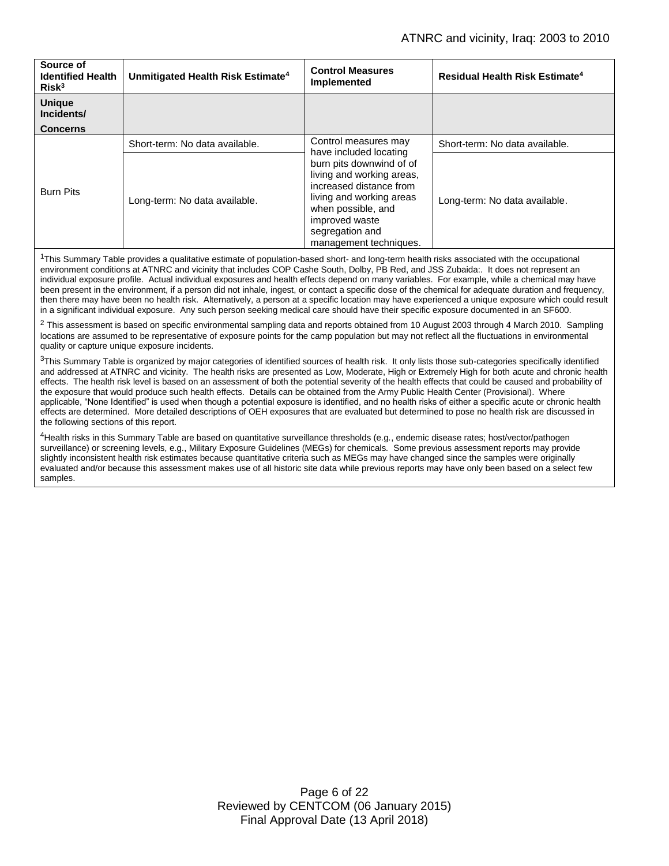| Source of<br><b>Identified Health</b><br>Risk <sup>3</sup> | Unmitigated Health Risk Estimate <sup>4</sup> | <b>Control Measures</b><br>Implemented                                                                                                                                                                                                              | Residual Health Risk Estimate <sup>4</sup> |
|------------------------------------------------------------|-----------------------------------------------|-----------------------------------------------------------------------------------------------------------------------------------------------------------------------------------------------------------------------------------------------------|--------------------------------------------|
| <b>Unique</b><br>Incidents/                                |                                               |                                                                                                                                                                                                                                                     |                                            |
| <b>Concerns</b>                                            |                                               |                                                                                                                                                                                                                                                     |                                            |
| <b>Burn Pits</b>                                           | Short-term: No data available.                | Control measures may<br>have included locating<br>burn pits downwind of of<br>living and working areas,<br>increased distance from<br>living and working areas<br>when possible, and<br>improved waste<br>segregation and<br>management techniques. | Short-term: No data available.             |
|                                                            | Long-term: No data available.                 |                                                                                                                                                                                                                                                     | Long-term: No data available.              |

<sup>1</sup>This Summary Table provides a qualitative estimate of population-based short- and long-term health risks associated with the occupational environment conditions at ATNRC and vicinity that includes COP Cashe South, Dolby, PB Red, and JSS Zubaida:. It does not represent an individual exposure profile. Actual individual exposures and health effects depend on many variables. For example, while a chemical may have been present in the environment, if a person did not inhale, ingest, or contact a specific dose of the chemical for adequate duration and frequency, then there may have been no health risk. Alternatively, a person at a specific location may have experienced a unique exposure which could result in a significant individual exposure. Any such person seeking medical care should have their specific exposure documented in an SF600.

 $2$  This assessment is based on specific environmental sampling data and reports obtained from 10 August 2003 through 4 March 2010. Sampling locations are assumed to be representative of exposure points for the camp population but may not reflect all the fluctuations in environmental quality or capture unique exposure incidents.

 $3$ This Summary Table is organized by major categories of identified sources of health risk. It only lists those sub-categories specifically identified and addressed at ATNRC and vicinity. The health risks are presented as Low, Moderate, High or Extremely High for both acute and chronic health effects. The health risk level is based on an assessment of both the potential severity of the health effects that could be caused and probability of the exposure that would produce such health effects. Details can be obtained from the Army Public Health Center (Provisional). Where applicable, "None Identified" is used when though a potential exposure is identified, and no health risks of either a specific acute or chronic health effects are determined. More detailed descriptions of OEH exposures that are evaluated but determined to pose no health risk are discussed in the following sections of this report.

4Health risks in this Summary Table are based on quantitative surveillance thresholds (e.g., endemic disease rates; host/vector/pathogen surveillance) or screening levels, e.g., Military Exposure Guidelines (MEGs) for chemicals*.* Some previous assessment reports may provide slightly inconsistent health risk estimates because quantitative criteria such as MEGs may have changed since the samples were originally evaluated and/or because this assessment makes use of all historic site data while previous reports may have only been based on a select few samples.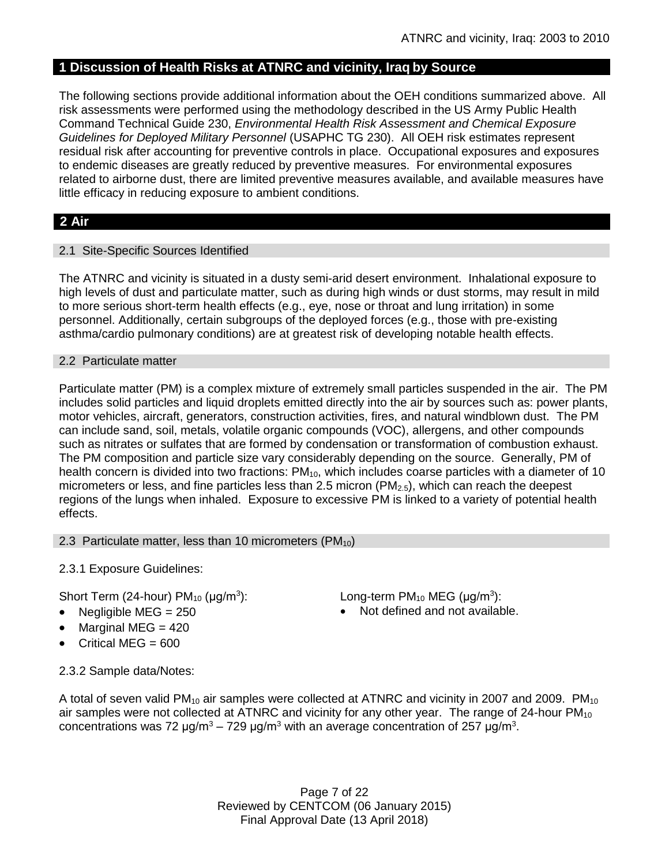# **1 Discussion of Health Risks at ATNRC and vicinity, Iraq by Source**

The following sections provide additional information about the OEH conditions summarized above. All risk assessments were performed using the methodology described in the US Army Public Health Command Technical Guide 230, *Environmental Health Risk Assessment and Chemical Exposure Guidelines for Deployed Military Personnel* (USAPHC TG 230). All OEH risk estimates represent residual risk after accounting for preventive controls in place. Occupational exposures and exposures to endemic diseases are greatly reduced by preventive measures. For environmental exposures related to airborne dust, there are limited preventive measures available, and available measures have little efficacy in reducing exposure to ambient conditions.

# **2 Air**

# 2.1 Site-Specific Sources Identified

The ATNRC and vicinity is situated in a dusty semi-arid desert environment. Inhalational exposure to high levels of dust and particulate matter, such as during high winds or dust storms, may result in mild to more serious short-term health effects (e.g., eye, nose or throat and lung irritation) in some personnel. Additionally, certain subgroups of the deployed forces (e.g., those with pre-existing asthma/cardio pulmonary conditions) are at greatest risk of developing notable health effects.

### 2.2 Particulate matter

Particulate matter (PM) is a complex mixture of extremely small particles suspended in the air. The PM includes solid particles and liquid droplets emitted directly into the air by sources such as: power plants, motor vehicles, aircraft, generators, construction activities, fires, and natural windblown dust. The PM can include sand, soil, metals, volatile organic compounds (VOC), allergens, and other compounds such as nitrates or sulfates that are formed by condensation or transformation of combustion exhaust. The PM composition and particle size vary considerably depending on the source. Generally, PM of health concern is divided into two fractions:  $PM_{10}$ , which includes coarse particles with a diameter of 10 micrometers or less, and fine particles less than 2.5 micron (PM<sub>2.5</sub>), which can reach the deepest regions of the lungs when inhaled. Exposure to excessive PM is linked to a variety of potential health effects.

### 2.3 Particulate matter, less than 10 micrometers (PM<sub>10</sub>)

2.3.1 Exposure Guidelines:

Short Term (24-hour)  $PM_{10}$  ( $\mu q/m^3$ ):

- 
- Marginal MEG  $=$  420
- Critical MEG = 600

): Long-term PM<sub>10</sub> MEG ( $\mu$ g/m<sup>3</sup>):

Negligible  $MEG = 250$  **Not defined and not available.** 

2.3.2 Sample data/Notes:

A total of seven valid  $PM_{10}$  air samples were collected at ATNRC and vicinity in 2007 and 2009.  $PM_{10}$ air samples were not collected at ATNRC and vicinity for any other year. The range of 24-hour  $PM_{10}$ concentrations was 72 μg/m<sup>3</sup> – 729 μg/m<sup>3</sup> with an average concentration of 257 μg/m<sup>3</sup>.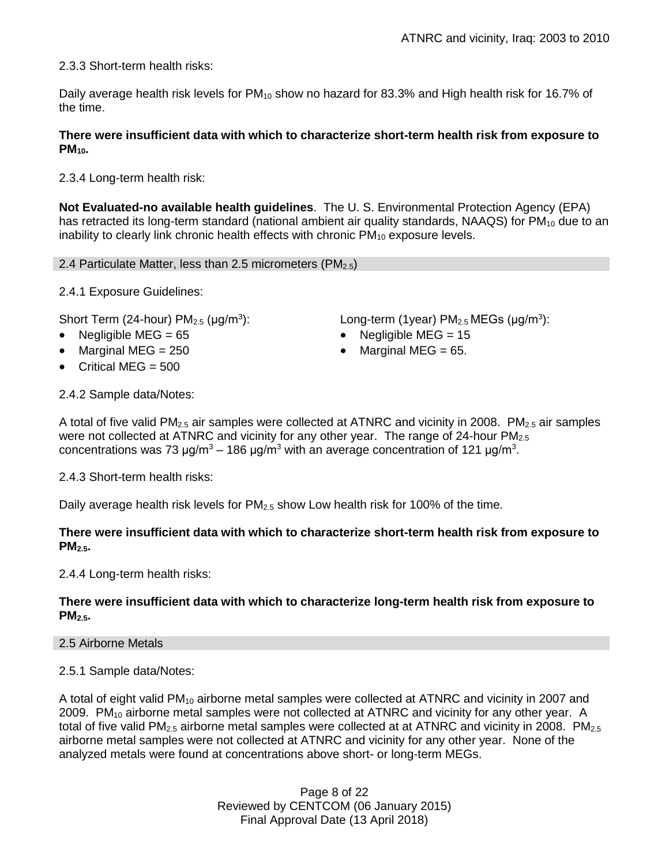2.3.3 Short-term health risks:

Daily average health risk levels for PM<sub>10</sub> show no hazard for 83.3% and High health risk for 16.7% of the time.

# **There were insufficient data with which to characterize short-term health risk from exposure to PM10.**

2.3.4 Long-term health risk:

**Not Evaluated-no available health guidelines**. The U. S. Environmental Protection Agency (EPA) has retracted its long-term standard (national ambient air quality standards, NAAQS) for  $PM_{10}$  due to an inability to clearly link chronic health effects with chronic  $PM_{10}$  exposure levels.

2.4 Particulate Matter, less than 2.5 micrometers ( $PM_{2.5}$ )

2.4.1 Exposure Guidelines:

Short Term (24-hour)  $PM<sub>2.5</sub>$  ( $\mu$ g/m<sup>3</sup>):

- 
- 
- Critical MEG = 500

): Long-term (1year)  $PM_{2.5}$  MEGs ( $\mu$ g/m<sup>3</sup>):

- Negligible MEG = 65 Negligible MEG = 15
- Marginal MEG =  $250$   $\bullet$  Marginal MEG =  $65$ .

2.4.2 Sample data/Notes:

A total of five valid  $PM_{2.5}$  air samples were collected at ATNRC and vicinity in 2008. PM<sub>2.5</sub> air samples were not collected at ATNRC and vicinity for any other year. The range of 24-hour  $PM_{2.5}$ concentrations was 73 μg/m<sup>3</sup> – 186 μg/m<sup>3</sup> with an average concentration of 121 μg/m<sup>3</sup>.

2.4.3 Short-term health risks:

Daily average health risk levels for  $PM_{2.5}$  show Low health risk for 100% of the time.

# **There were insufficient data with which to characterize short-term health risk from exposure to PM2.5.**

2.4.4 Long-term health risks:

# **There were insufficient data with which to characterize long-term health risk from exposure to PM2.5.**

### 2.5 Airborne Metals

2.5.1 Sample data/Notes:

A total of eight valid PM<sub>10</sub> airborne metal samples were collected at ATNRC and vicinity in 2007 and 2009. PM<sub>10</sub> airborne metal samples were not collected at ATNRC and vicinity for any other year. A total of five valid  $PM_{2.5}$  airborne metal samples were collected at at ATNRC and vicinity in 2008.  $PM_{2.5}$ airborne metal samples were not collected at ATNRC and vicinity for any other year. None of the analyzed metals were found at concentrations above short- or long-term MEGs.

> Page 8 of 22 Reviewed by CENTCOM (06 January 2015) Final Approval Date (13 April 2018)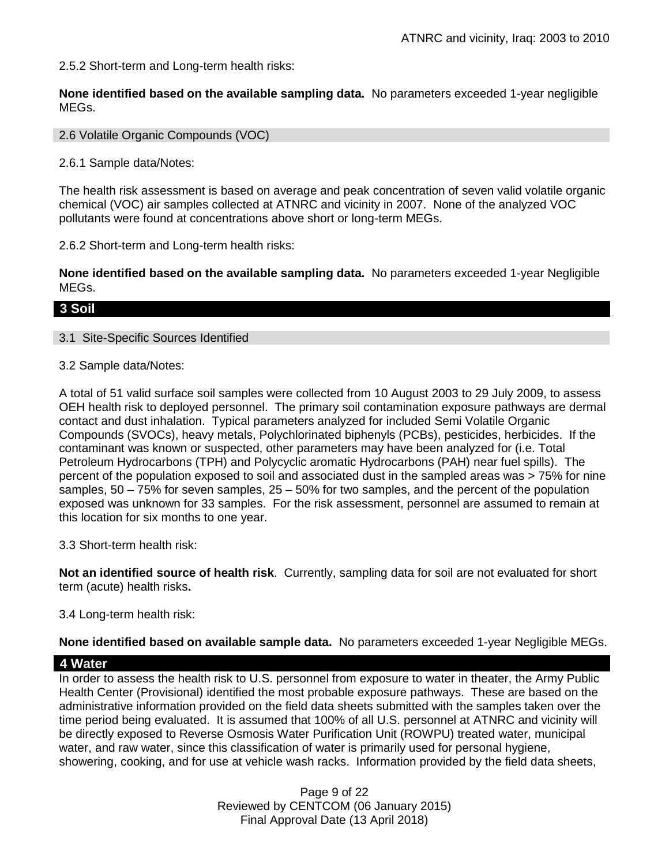2.5.2 Short-term and Long-term health risks:

**None identified based on the available sampling data.** No parameters exceeded 1-year negligible MEGs.

### 2.6 Volatile Organic Compounds (VOC)

2.6.1 Sample data/Notes:

The health risk assessment is based on average and peak concentration of seven valid volatile organic chemical (VOC) air samples collected at ATNRC and vicinity in 2007. None of the analyzed VOC pollutants were found at concentrations above short or long-term MEGs.

2.6.2 Short-term and Long-term health risks:

**None identified based on the available sampling data.** No parameters exceeded 1-year Negligible MEGs.

# **3 Soil**

# 3.1 Site-Specific Sources Identified

3.2 Sample data/Notes:

A total of 51 valid surface soil samples were collected from 10 August 2003 to 29 July 2009, to assess OEH health risk to deployed personnel. The primary soil contamination exposure pathways are dermal contact and dust inhalation. Typical parameters analyzed for included Semi Volatile Organic Compounds (SVOCs), heavy metals, Polychlorinated biphenyls (PCBs), pesticides, herbicides. If the contaminant was known or suspected, other parameters may have been analyzed for (i.e. Total Petroleum Hydrocarbons (TPH) and Polycyclic aromatic Hydrocarbons (PAH) near fuel spills). The percent of the population exposed to soil and associated dust in the sampled areas was > 75% for nine samples,  $50 - 75\%$  for seven samples,  $25 - 50\%$  for two samples, and the percent of the population exposed was unknown for 33 samples. For the risk assessment, personnel are assumed to remain at this location for six months to one year.

3.3 Short-term health risk:

**Not an identified source of health risk**. Currently, sampling data for soil are not evaluated for short term (acute) health risks**.**

### 3.4 Long-term health risk:

**None identified based on available sample data.** No parameters exceeded 1-year Negligible MEGs.

### **4 Water**

In order to assess the health risk to U.S. personnel from exposure to water in theater, the Army Public Health Center (Provisional) identified the most probable exposure pathways. These are based on the administrative information provided on the field data sheets submitted with the samples taken over the time period being evaluated. It is assumed that 100% of all U.S. personnel at ATNRC and vicinity will be directly exposed to Reverse Osmosis Water Purification Unit (ROWPU) treated water, municipal water, and raw water, since this classification of water is primarily used for personal hygiene, showering, cooking, and for use at vehicle wash racks. Information provided by the field data sheets,

> Page 9 of 22 Reviewed by CENTCOM (06 January 2015) Final Approval Date (13 April 2018)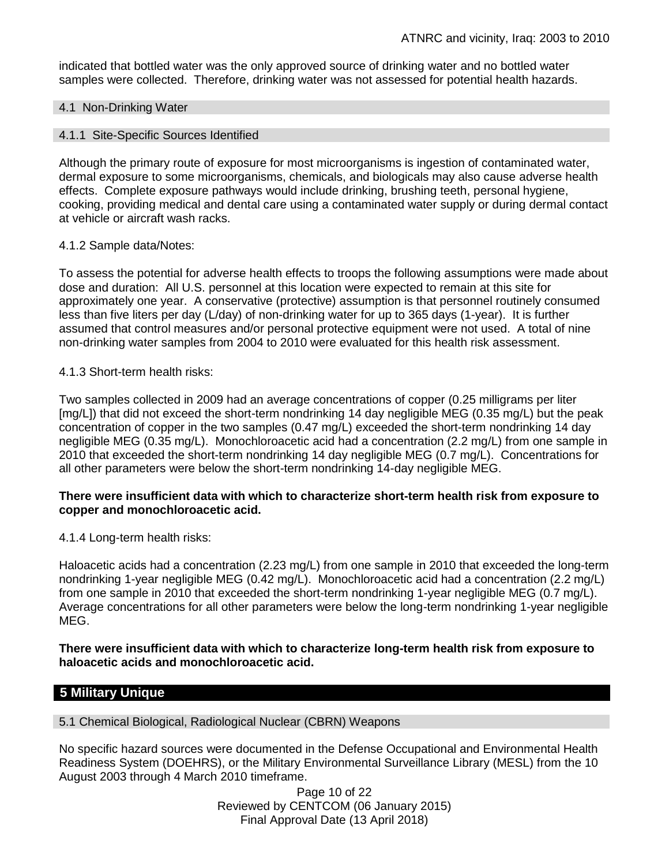indicated that bottled water was the only approved source of drinking water and no bottled water samples were collected. Therefore, drinking water was not assessed for potential health hazards.

#### 4.1 Non-Drinking Water

#### 4.1.1 Site-Specific Sources Identified

Although the primary route of exposure for most microorganisms is ingestion of contaminated water, dermal exposure to some microorganisms, chemicals, and biologicals may also cause adverse health effects. Complete exposure pathways would include drinking, brushing teeth, personal hygiene, cooking, providing medical and dental care using a contaminated water supply or during dermal contact at vehicle or aircraft wash racks.

#### 4.1.2 Sample data/Notes:

To assess the potential for adverse health effects to troops the following assumptions were made about dose and duration: All U.S. personnel at this location were expected to remain at this site for approximately one year. A conservative (protective) assumption is that personnel routinely consumed less than five liters per day (L/day) of non-drinking water for up to 365 days (1-year). It is further assumed that control measures and/or personal protective equipment were not used. A total of nine non-drinking water samples from 2004 to 2010 were evaluated for this health risk assessment.

#### 4.1.3 Short-term health risks:

Two samples collected in 2009 had an average concentrations of copper (0.25 milligrams per liter [mg/L]) that did not exceed the short-term nondrinking 14 day negligible MEG (0.35 mg/L) but the peak concentration of copper in the two samples (0.47 mg/L) exceeded the short-term nondrinking 14 day negligible MEG (0.35 mg/L). Monochloroacetic acid had a concentration (2.2 mg/L) from one sample in 2010 that exceeded the short-term nondrinking 14 day negligible MEG (0.7 mg/L). Concentrations for all other parameters were below the short-term nondrinking 14-day negligible MEG.

### **There were insufficient data with which to characterize short-term health risk from exposure to copper and monochloroacetic acid.**

### 4.1.4 Long-term health risks:

Haloacetic acids had a concentration (2.23 mg/L) from one sample in 2010 that exceeded the long-term nondrinking 1-year negligible MEG (0.42 mg/L). Monochloroacetic acid had a concentration (2.2 mg/L) from one sample in 2010 that exceeded the short-term nondrinking 1-year negligible MEG (0.7 mg/L). Average concentrations for all other parameters were below the long-term nondrinking 1-year negligible MEG.

#### **There were insufficient data with which to characterize long-term health risk from exposure to haloacetic acids and monochloroacetic acid.**

# **5 Military Unique**

#### 5.1 Chemical Biological, Radiological Nuclear (CBRN) Weapons

No specific hazard sources were documented in the Defense Occupational and Environmental Health Readiness System (DOEHRS), or the Military Environmental Surveillance Library (MESL) from the 10 August 2003 through 4 March 2010 timeframe.

> Page 10 of 22 Reviewed by CENTCOM (06 January 2015) Final Approval Date (13 April 2018)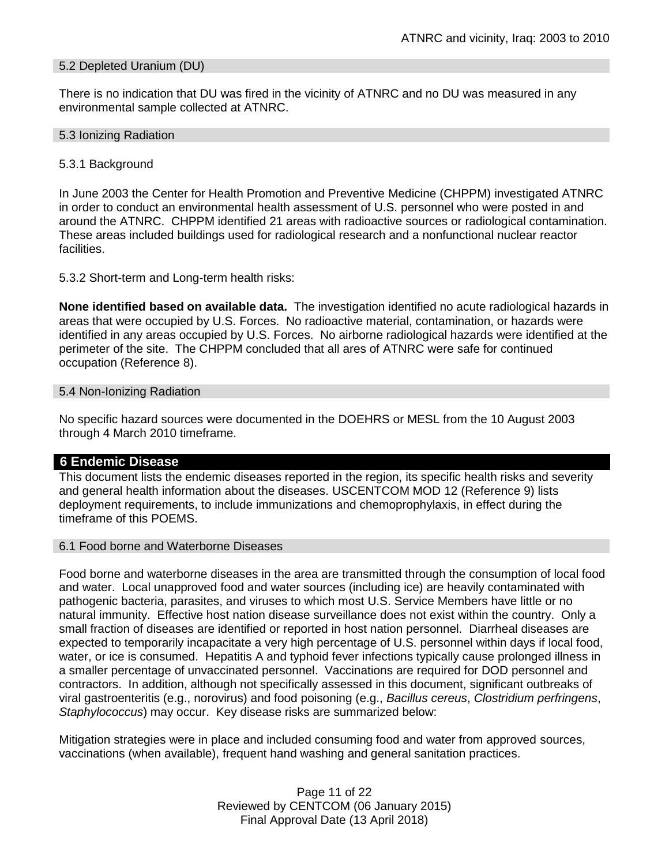#### 5.2 Depleted Uranium (DU)

There is no indication that DU was fired in the vicinity of ATNRC and no DU was measured in any environmental sample collected at ATNRC.

#### 5.3 Ionizing Radiation

#### 5.3.1 Background

In June 2003 the Center for Health Promotion and Preventive Medicine (CHPPM) investigated ATNRC in order to conduct an environmental health assessment of U.S. personnel who were posted in and around the ATNRC. CHPPM identified 21 areas with radioactive sources or radiological contamination. These areas included buildings used for radiological research and a nonfunctional nuclear reactor facilities.

5.3.2 Short-term and Long-term health risks:

**None identified based on available data.** The investigation identified no acute radiological hazards in areas that were occupied by U.S. Forces. No radioactive material, contamination, or hazards were identified in any areas occupied by U.S. Forces. No airborne radiological hazards were identified at the perimeter of the site. The CHPPM concluded that all ares of ATNRC were safe for continued occupation (Reference 8).

#### 5.4 Non-Ionizing Radiation

No specific hazard sources were documented in the DOEHRS or MESL from the 10 August 2003 through 4 March 2010 timeframe.

### **6 Endemic Disease**

This document lists the endemic diseases reported in the region, its specific health risks and severity and general health information about the diseases. USCENTCOM MOD 12 (Reference 9) lists deployment requirements, to include immunizations and chemoprophylaxis, in effect during the timeframe of this POEMS.

#### 6.1 Food borne and Waterborne Diseases

Food borne and waterborne diseases in the area are transmitted through the consumption of local food and water. Local unapproved food and water sources (including ice) are heavily contaminated with pathogenic bacteria, parasites, and viruses to which most U.S. Service Members have little or no natural immunity. Effective host nation disease surveillance does not exist within the country. Only a small fraction of diseases are identified or reported in host nation personnel. Diarrheal diseases are expected to temporarily incapacitate a very high percentage of U.S. personnel within days if local food, water, or ice is consumed. Hepatitis A and typhoid fever infections typically cause prolonged illness in a smaller percentage of unvaccinated personnel. Vaccinations are required for DOD personnel and contractors. In addition, although not specifically assessed in this document, significant outbreaks of viral gastroenteritis (e.g., norovirus) and food poisoning (e.g., *Bacillus cereus*, *Clostridium perfringens*, *Staphylococcus*) may occur. Key disease risks are summarized below:

Mitigation strategies were in place and included consuming food and water from approved sources, vaccinations (when available), frequent hand washing and general sanitation practices.

> Page 11 of 22 Reviewed by CENTCOM (06 January 2015) Final Approval Date (13 April 2018)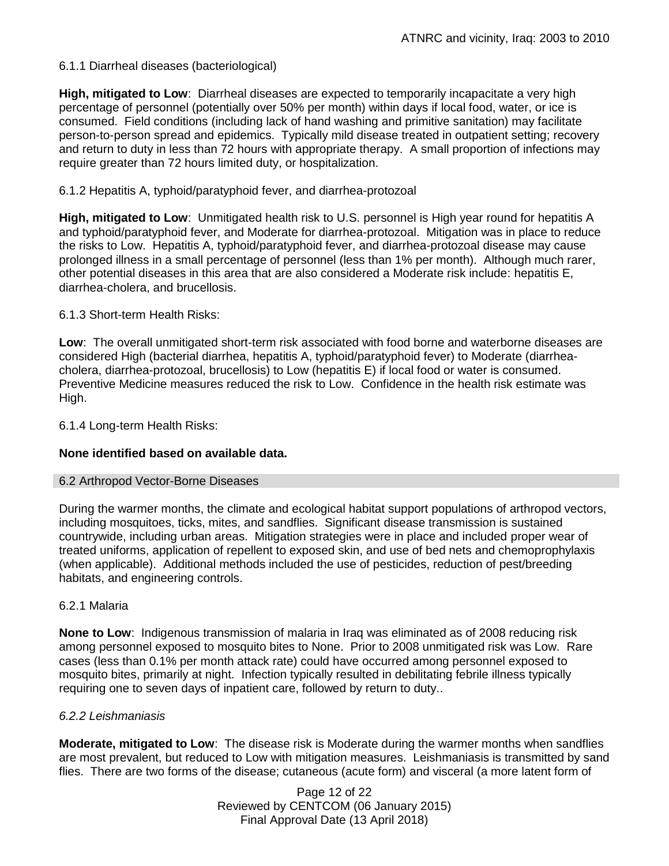# 6.1.1 Diarrheal diseases (bacteriological)

**High, mitigated to Low**: Diarrheal diseases are expected to temporarily incapacitate a very high percentage of personnel (potentially over 50% per month) within days if local food, water, or ice is consumed. Field conditions (including lack of hand washing and primitive sanitation) may facilitate person-to-person spread and epidemics. Typically mild disease treated in outpatient setting; recovery and return to duty in less than 72 hours with appropriate therapy. A small proportion of infections may require greater than 72 hours limited duty, or hospitalization.

# 6.1.2 Hepatitis A, typhoid/paratyphoid fever, and diarrhea-protozoal

**High, mitigated to Low**: Unmitigated health risk to U.S. personnel is High year round for hepatitis A and typhoid/paratyphoid fever, and Moderate for diarrhea-protozoal. Mitigation was in place to reduce the risks to Low. Hepatitis A, typhoid/paratyphoid fever, and diarrhea-protozoal disease may cause prolonged illness in a small percentage of personnel (less than 1% per month). Although much rarer, other potential diseases in this area that are also considered a Moderate risk include: hepatitis E, diarrhea-cholera, and brucellosis.

# 6.1.3 Short-term Health Risks:

**Low**: The overall unmitigated short-term risk associated with food borne and waterborne diseases are considered High (bacterial diarrhea, hepatitis A, typhoid/paratyphoid fever) to Moderate (diarrheacholera, diarrhea-protozoal, brucellosis) to Low (hepatitis E) if local food or water is consumed. Preventive Medicine measures reduced the risk to Low. Confidence in the health risk estimate was High.

6.1.4 Long-term Health Risks:

# **None identified based on available data.**

### 6.2 Arthropod Vector-Borne Diseases

During the warmer months, the climate and ecological habitat support populations of arthropod vectors, including mosquitoes, ticks, mites, and sandflies. Significant disease transmission is sustained countrywide, including urban areas. Mitigation strategies were in place and included proper wear of treated uniforms, application of repellent to exposed skin, and use of bed nets and chemoprophylaxis (when applicable). Additional methods included the use of pesticides, reduction of pest/breeding habitats, and engineering controls.

### 6.2.1 Malaria

**None to Low**: Indigenous transmission of malaria in Iraq was eliminated as of 2008 reducing risk among personnel exposed to mosquito bites to None. Prior to 2008 unmitigated risk was Low. Rare cases (less than 0.1% per month attack rate) could have occurred among personnel exposed to mosquito bites, primarily at night. Infection typically resulted in debilitating febrile illness typically requiring one to seven days of inpatient care, followed by return to duty..

### *6.2.2 Leishmaniasis*

**Moderate, mitigated to Low**: The disease risk is Moderate during the warmer months when sandflies are most prevalent, but reduced to Low with mitigation measures. Leishmaniasis is transmitted by sand flies. There are two forms of the disease; cutaneous (acute form) and visceral (a more latent form of

> Page 12 of 22 Reviewed by CENTCOM (06 January 2015) Final Approval Date (13 April 2018)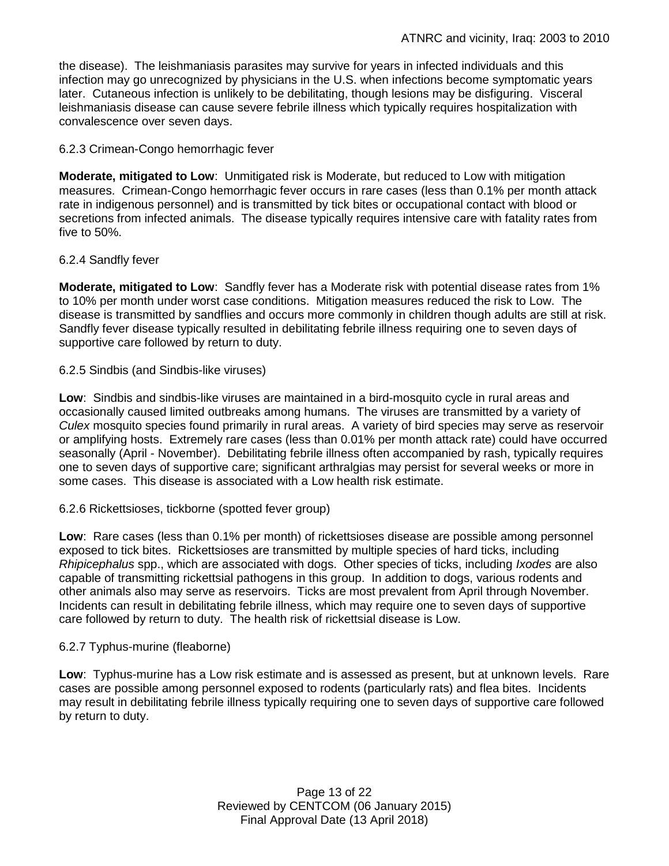the disease). The leishmaniasis parasites may survive for years in infected individuals and this infection may go unrecognized by physicians in the U.S. when infections become symptomatic years later. Cutaneous infection is unlikely to be debilitating, though lesions may be disfiguring. Visceral leishmaniasis disease can cause severe febrile illness which typically requires hospitalization with convalescence over seven days.

# 6.2.3 Crimean-Congo hemorrhagic fever

**Moderate, mitigated to Low**: Unmitigated risk is Moderate, but reduced to Low with mitigation measures. Crimean-Congo hemorrhagic fever occurs in rare cases (less than 0.1% per month attack rate in indigenous personnel) and is transmitted by tick bites or occupational contact with blood or secretions from infected animals. The disease typically requires intensive care with fatality rates from five to 50%.

# 6.2.4 Sandfly fever

**Moderate, mitigated to Low**: Sandfly fever has a Moderate risk with potential disease rates from 1% to 10% per month under worst case conditions. Mitigation measures reduced the risk to Low. The disease is transmitted by sandflies and occurs more commonly in children though adults are still at risk. Sandfly fever disease typically resulted in debilitating febrile illness requiring one to seven days of supportive care followed by return to duty.

# 6.2.5 Sindbis (and Sindbis-like viruses)

**Low**: Sindbis and sindbis-like viruses are maintained in a bird-mosquito cycle in rural areas and occasionally caused limited outbreaks among humans. The viruses are transmitted by a variety of *Culex* mosquito species found primarily in rural areas. A variety of bird species may serve as reservoir or amplifying hosts. Extremely rare cases (less than 0.01% per month attack rate) could have occurred seasonally (April - November). Debilitating febrile illness often accompanied by rash, typically requires one to seven days of supportive care; significant arthralgias may persist for several weeks or more in some cases. This disease is associated with a Low health risk estimate.

# 6.2.6 Rickettsioses, tickborne (spotted fever group)

**Low**: Rare cases (less than 0.1% per month) of rickettsioses disease are possible among personnel exposed to tick bites. Rickettsioses are transmitted by multiple species of hard ticks, including *Rhipicephalus* spp., which are associated with dogs. Other species of ticks, including *Ixodes* are also capable of transmitting rickettsial pathogens in this group. In addition to dogs, various rodents and other animals also may serve as reservoirs. Ticks are most prevalent from April through November. Incidents can result in debilitating febrile illness, which may require one to seven days of supportive care followed by return to duty. The health risk of rickettsial disease is Low.

### 6.2.7 Typhus-murine (fleaborne)

**Low**: Typhus-murine has a Low risk estimate and is assessed as present, but at unknown levels. Rare cases are possible among personnel exposed to rodents (particularly rats) and flea bites. Incidents may result in debilitating febrile illness typically requiring one to seven days of supportive care followed by return to duty.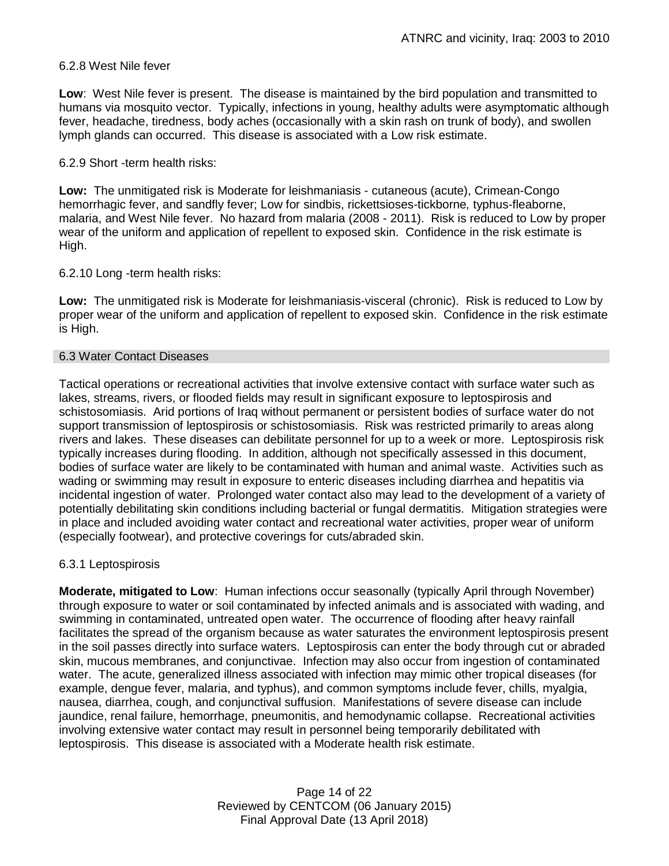## 6.2.8 West Nile fever

**Low**: West Nile fever is present. The disease is maintained by the bird population and transmitted to humans via mosquito vector. Typically, infections in young, healthy adults were asymptomatic although fever, headache, tiredness, body aches (occasionally with a skin rash on trunk of body), and swollen lymph glands can occurred. This disease is associated with a Low risk estimate.

# 6.2.9 Short -term health risks:

**Low:** The unmitigated risk is Moderate for leishmaniasis - cutaneous (acute), Crimean-Congo hemorrhagic fever, and sandfly fever; Low for sindbis, rickettsioses-tickborne*,* typhus-fleaborne, malaria, and West Nile fever. No hazard from malaria (2008 - 2011). Risk is reduced to Low by proper wear of the uniform and application of repellent to exposed skin. Confidence in the risk estimate is High.

# 6.2.10 Long -term health risks:

**Low:** The unmitigated risk is Moderate for leishmaniasis-visceral (chronic). Risk is reduced to Low by proper wear of the uniform and application of repellent to exposed skin. Confidence in the risk estimate is High.

### 6.3 Water Contact Diseases

Tactical operations or recreational activities that involve extensive contact with surface water such as lakes, streams, rivers, or flooded fields may result in significant exposure to leptospirosis and schistosomiasis. Arid portions of Iraq without permanent or persistent bodies of surface water do not support transmission of leptospirosis or schistosomiasis. Risk was restricted primarily to areas along rivers and lakes. These diseases can debilitate personnel for up to a week or more. Leptospirosis risk typically increases during flooding. In addition, although not specifically assessed in this document, bodies of surface water are likely to be contaminated with human and animal waste. Activities such as wading or swimming may result in exposure to enteric diseases including diarrhea and hepatitis via incidental ingestion of water. Prolonged water contact also may lead to the development of a variety of potentially debilitating skin conditions including bacterial or fungal dermatitis. Mitigation strategies were in place and included avoiding water contact and recreational water activities, proper wear of uniform (especially footwear), and protective coverings for cuts/abraded skin.

### 6.3.1 Leptospirosis

**Moderate, mitigated to Low**: Human infections occur seasonally (typically April through November) through exposure to water or soil contaminated by infected animals and is associated with wading, and swimming in contaminated, untreated open water. The occurrence of flooding after heavy rainfall facilitates the spread of the organism because as water saturates the environment leptospirosis present in the soil passes directly into surface waters. Leptospirosis can enter the body through cut or abraded skin, mucous membranes, and conjunctivae. Infection may also occur from ingestion of contaminated water. The acute, generalized illness associated with infection may mimic other tropical diseases (for example, dengue fever, malaria, and typhus), and common symptoms include fever, chills, myalgia, nausea, diarrhea, cough, and conjunctival suffusion. Manifestations of severe disease can include jaundice, renal failure, hemorrhage, pneumonitis, and hemodynamic collapse. Recreational activities involving extensive water contact may result in personnel being temporarily debilitated with leptospirosis. This disease is associated with a Moderate health risk estimate.

> Page 14 of 22 Reviewed by CENTCOM (06 January 2015) Final Approval Date (13 April 2018)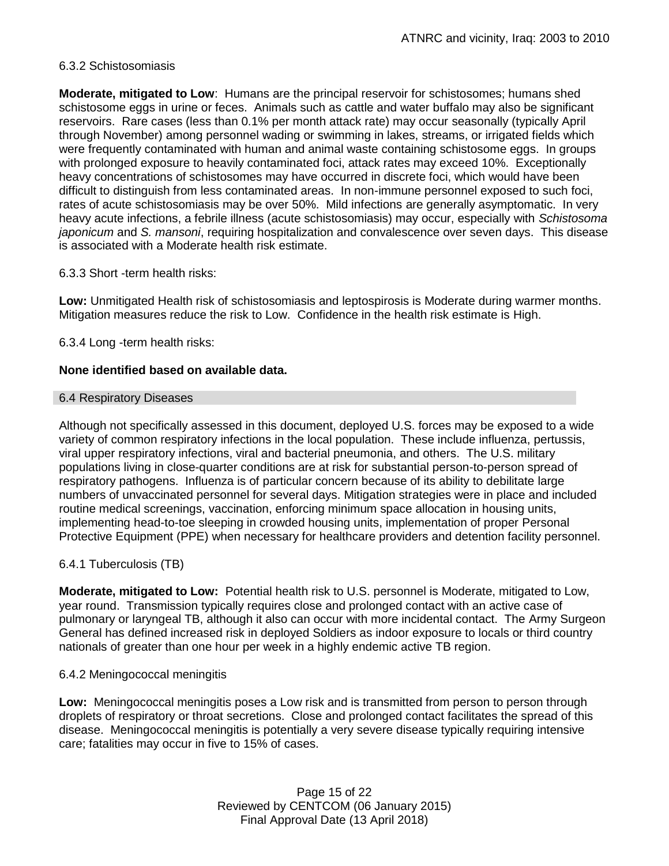# 6.3.2 Schistosomiasis

**Moderate, mitigated to Low**: Humans are the principal reservoir for schistosomes; humans shed schistosome eggs in urine or feces. Animals such as cattle and water buffalo may also be significant reservoirs. Rare cases (less than 0.1% per month attack rate) may occur seasonally (typically April through November) among personnel wading or swimming in lakes, streams, or irrigated fields which were frequently contaminated with human and animal waste containing schistosome eggs. In groups with prolonged exposure to heavily contaminated foci, attack rates may exceed 10%. Exceptionally heavy concentrations of schistosomes may have occurred in discrete foci, which would have been difficult to distinguish from less contaminated areas. In non-immune personnel exposed to such foci, rates of acute schistosomiasis may be over 50%. Mild infections are generally asymptomatic. In very heavy acute infections, a febrile illness (acute schistosomiasis) may occur, especially with *Schistosoma japonicum* and *S. mansoni*, requiring hospitalization and convalescence over seven days. This disease is associated with a Moderate health risk estimate.

# 6.3.3 Short -term health risks:

**Low:** Unmitigated Health risk of schistosomiasis and leptospirosis is Moderate during warmer months. Mitigation measures reduce the risk to Low. Confidence in the health risk estimate is High.

6.3.4 Long -term health risks:

# **None identified based on available data.**

#### 6.4 Respiratory Diseases

Although not specifically assessed in this document, deployed U.S. forces may be exposed to a wide variety of common respiratory infections in the local population. These include influenza, pertussis, viral upper respiratory infections, viral and bacterial pneumonia, and others. The U.S. military populations living in close-quarter conditions are at risk for substantial person-to-person spread of respiratory pathogens. Influenza is of particular concern because of its ability to debilitate large numbers of unvaccinated personnel for several days. Mitigation strategies were in place and included routine medical screenings, vaccination, enforcing minimum space allocation in housing units, implementing head-to-toe sleeping in crowded housing units, implementation of proper Personal Protective Equipment (PPE) when necessary for healthcare providers and detention facility personnel.

# 6.4.1 Tuberculosis (TB)

**Moderate, mitigated to Low:** Potential health risk to U.S. personnel is Moderate, mitigated to Low, year round. Transmission typically requires close and prolonged contact with an active case of pulmonary or laryngeal TB, although it also can occur with more incidental contact. The Army Surgeon General has defined increased risk in deployed Soldiers as indoor exposure to locals or third country nationals of greater than one hour per week in a highly endemic active TB region.

### 6.4.2 Meningococcal meningitis

**Low:** Meningococcal meningitis poses a Low risk and is transmitted from person to person through droplets of respiratory or throat secretions. Close and prolonged contact facilitates the spread of this disease. Meningococcal meningitis is potentially a very severe disease typically requiring intensive care; fatalities may occur in five to 15% of cases.

> Page 15 of 22 Reviewed by CENTCOM (06 January 2015) Final Approval Date (13 April 2018)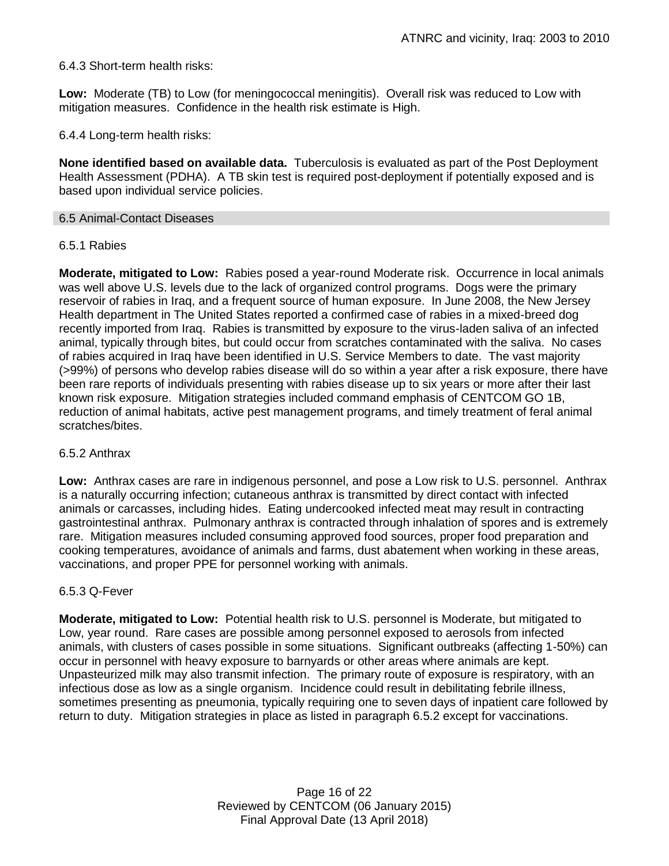# 6.4.3 Short-term health risks:

**Low:** Moderate (TB) to Low (for meningococcal meningitis). Overall risk was reduced to Low with mitigation measures. Confidence in the health risk estimate is High.

6.4.4 Long-term health risks:

**None identified based on available data.** Tuberculosis is evaluated as part of the Post Deployment Health Assessment (PDHA). A TB skin test is required post-deployment if potentially exposed and is based upon individual service policies.

#### 6.5 Animal-Contact Diseases

### 6.5.1 Rabies

**Moderate, mitigated to Low:** Rabies posed a year-round Moderate risk. Occurrence in local animals was well above U.S. levels due to the lack of organized control programs. Dogs were the primary reservoir of rabies in Iraq, and a frequent source of human exposure. In June 2008, the New Jersey Health department in The United States reported a confirmed case of rabies in a mixed-breed dog recently imported from Iraq. Rabies is transmitted by exposure to the virus-laden saliva of an infected animal, typically through bites, but could occur from scratches contaminated with the saliva. No cases of rabies acquired in Iraq have been identified in U.S. Service Members to date. The vast majority (>99%) of persons who develop rabies disease will do so within a year after a risk exposure, there have been rare reports of individuals presenting with rabies disease up to six years or more after their last known risk exposure. Mitigation strategies included command emphasis of CENTCOM GO 1B, reduction of animal habitats, active pest management programs, and timely treatment of feral animal scratches/bites.

### 6.5.2 Anthrax

**Low:** Anthrax cases are rare in indigenous personnel, and pose a Low risk to U.S. personnel. Anthrax is a naturally occurring infection; cutaneous anthrax is transmitted by direct contact with infected animals or carcasses, including hides. Eating undercooked infected meat may result in contracting gastrointestinal anthrax. Pulmonary anthrax is contracted through inhalation of spores and is extremely rare. Mitigation measures included consuming approved food sources, proper food preparation and cooking temperatures, avoidance of animals and farms, dust abatement when working in these areas, vaccinations, and proper PPE for personnel working with animals.

### 6.5.3 Q-Fever

**Moderate, mitigated to Low:** Potential health risk to U.S. personnel is Moderate, but mitigated to Low, year round. Rare cases are possible among personnel exposed to aerosols from infected animals, with clusters of cases possible in some situations. Significant outbreaks (affecting 1-50%) can occur in personnel with heavy exposure to barnyards or other areas where animals are kept. Unpasteurized milk may also transmit infection. The primary route of exposure is respiratory, with an infectious dose as low as a single organism. Incidence could result in debilitating febrile illness, sometimes presenting as pneumonia, typically requiring one to seven days of inpatient care followed by return to duty. Mitigation strategies in place as listed in paragraph 6.5.2 except for vaccinations.

> Page 16 of 22 Reviewed by CENTCOM (06 January 2015) Final Approval Date (13 April 2018)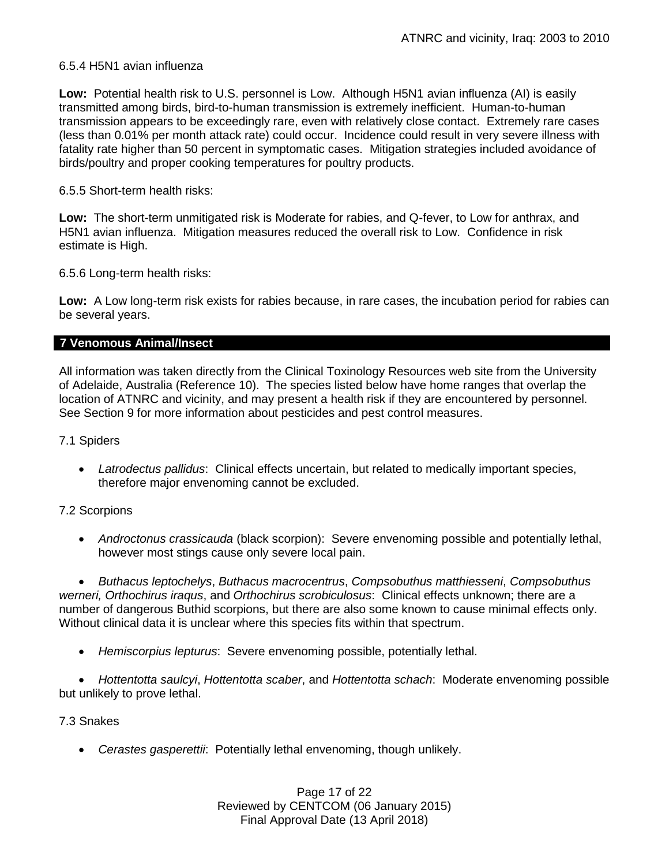# 6.5.4 H5N1 avian influenza

**Low:** Potential health risk to U.S. personnel is Low. Although H5N1 avian influenza (AI) is easily transmitted among birds, bird-to-human transmission is extremely inefficient. Human-to-human transmission appears to be exceedingly rare, even with relatively close contact. Extremely rare cases (less than 0.01% per month attack rate) could occur. Incidence could result in very severe illness with fatality rate higher than 50 percent in symptomatic cases. Mitigation strategies included avoidance of birds/poultry and proper cooking temperatures for poultry products.

# 6.5.5 Short-term health risks:

**Low:** The short-term unmitigated risk is Moderate for rabies, and Q-fever, to Low for anthrax, and H5N1 avian influenza. Mitigation measures reduced the overall risk to Low.Confidence in risk estimate is High.

6.5.6 Long-term health risks:

**Low:** A Low long-term risk exists for rabies because, in rare cases, the incubation period for rabies can be several years.

### **7 Venomous Animal/Insect**

All information was taken directly from the Clinical Toxinology Resources web site from the University of Adelaide, Australia (Reference 10). The species listed below have home ranges that overlap the location of ATNRC and vicinity, and may present a health risk if they are encountered by personnel. See Section 9 for more information about pesticides and pest control measures.

### 7.1 Spiders

 *Latrodectus pallidus*: Clinical effects uncertain, but related to medically important species, therefore major envenoming cannot be excluded.

# 7.2 Scorpions

 *Androctonus crassicauda* (black scorpion):Severe envenoming possible and potentially lethal, however most stings cause only severe local pain.

 *Buthacus leptochelys*, *Buthacus macrocentrus*, *Compsobuthus matthiesseni*, *Compsobuthus werneri, Orthochirus iraqus*, and *Orthochirus scrobiculosus*: Clinical effects unknown; there are a number of dangerous Buthid scorpions, but there are also some known to cause minimal effects only. Without clinical data it is unclear where this species fits within that spectrum.

*Hemiscorpius lepturus*: Severe envenoming possible, potentially lethal.

 *Hottentotta saulcyi*, *Hottentotta scaber*, and *Hottentotta schach*: Moderate envenoming possible but unlikely to prove lethal.

### 7.3 Snakes

*Cerastes gasperettii*: Potentially lethal envenoming, though unlikely.

Page 17 of 22 Reviewed by CENTCOM (06 January 2015) Final Approval Date (13 April 2018)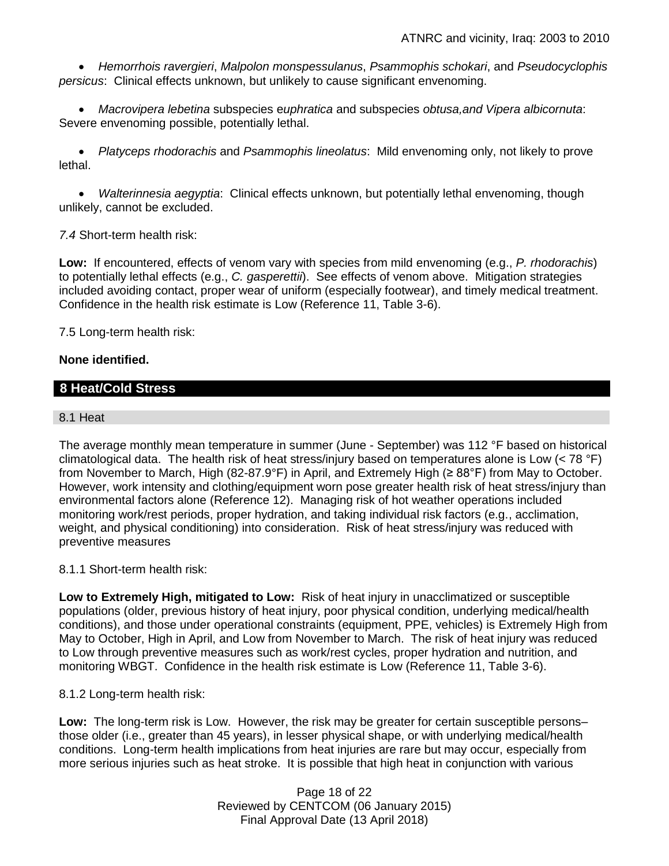*Hemorrhois ravergieri*, *Malpolon monspessulanus*, *Psammophis schokari*, and *Pseudocyclophis persicus*: Clinical effects unknown, but unlikely to cause significant envenoming.

 *Macrovipera lebetina* subspecies e*uphratica* and subspecies *obtusa,and Vipera albicornuta*: Severe envenoming possible, potentially lethal.

 *Platyceps rhodorachis* and *Psammophis lineolatus*: Mild envenoming only, not likely to prove lethal.

 *Walterinnesia aegyptia*: Clinical effects unknown, but potentially lethal envenoming, though unlikely, cannot be excluded.

*7.4* Short-term health risk:

**Low:** If encountered, effects of venom vary with species from mild envenoming (e.g., *P. rhodorachis*) to potentially lethal effects (e.g., *C. gasperettii*). See effects of venom above. Mitigation strategies included avoiding contact, proper wear of uniform (especially footwear), and timely medical treatment. Confidence in the health risk estimate is Low (Reference 11, Table 3-6).

7.5 Long-term health risk:

# **None identified.**

# **8 Heat/Cold Stress**

# 8.1 Heat

The average monthly mean temperature in summer (June - September) was 112 °F based on historical climatological data. The health risk of heat stress/injury based on temperatures alone is Low (< 78 °F) from November to March, High (82-87.9°F) in April, and Extremely High (≥ 88°F) from May to October. However, work intensity and clothing/equipment worn pose greater health risk of heat stress/injury than environmental factors alone (Reference 12). Managing risk of hot weather operations included monitoring work/rest periods, proper hydration, and taking individual risk factors (e.g., acclimation, weight, and physical conditioning) into consideration. Risk of heat stress/injury was reduced with preventive measures

# 8.1.1 Short-term health risk:

**Low to Extremely High, mitigated to Low:** Risk of heat injury in unacclimatized or susceptible populations (older, previous history of heat injury, poor physical condition, underlying medical/health conditions), and those under operational constraints (equipment, PPE, vehicles) is Extremely High from May to October, High in April, and Low from November to March. The risk of heat injury was reduced to Low through preventive measures such as work/rest cycles, proper hydration and nutrition, and monitoring WBGT. Confidence in the health risk estimate is Low (Reference 11, Table 3-6).

### 8.1.2 Long-term health risk:

**Low:** The long-term risk is Low. However, the risk may be greater for certain susceptible persons– those older (i.e., greater than 45 years), in lesser physical shape, or with underlying medical/health conditions. Long-term health implications from heat injuries are rare but may occur, especially from more serious injuries such as heat stroke. It is possible that high heat in conjunction with various

> Page 18 of 22 Reviewed by CENTCOM (06 January 2015) Final Approval Date (13 April 2018)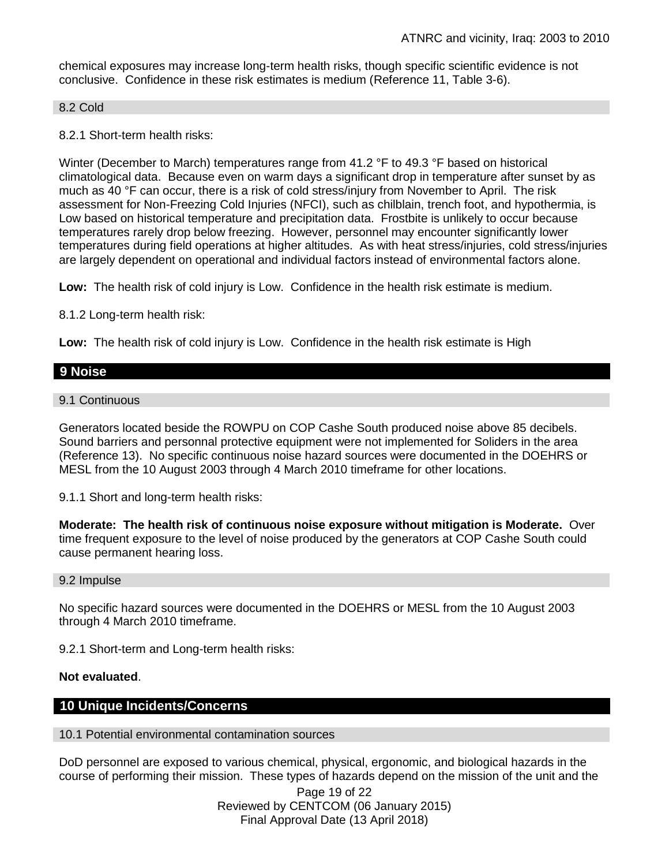chemical exposures may increase long-term health risks, though specific scientific evidence is not conclusive. Confidence in these risk estimates is medium (Reference 11, Table 3-6).

#### 8.2 Cold

8.2.1 Short-term health risks:

Winter (December to March) temperatures range from 41.2 °F to 49.3 °F based on historical climatological data. Because even on warm days a significant drop in temperature after sunset by as much as 40 °F can occur, there is a risk of cold stress/injury from November to April. The risk assessment for Non-Freezing Cold Injuries (NFCI), such as chilblain, trench foot, and hypothermia, is Low based on historical temperature and precipitation data. Frostbite is unlikely to occur because temperatures rarely drop below freezing. However, personnel may encounter significantly lower temperatures during field operations at higher altitudes. As with heat stress/injuries, cold stress/injuries are largely dependent on operational and individual factors instead of environmental factors alone.

**Low:** The health risk of cold injury is Low. Confidence in the health risk estimate is medium.

8.1.2 Long-term health risk:

**Low:** The health risk of cold injury is Low. Confidence in the health risk estimate is High

# **9 Noise**

### 9.1 Continuous

Generators located beside the ROWPU on COP Cashe South produced noise above 85 decibels. Sound barriers and personnal protective equipment were not implemented for Soliders in the area (Reference 13). No specific continuous noise hazard sources were documented in the DOEHRS or MESL from the 10 August 2003 through 4 March 2010 timeframe for other locations.

9.1.1 Short and long-term health risks:

**Moderate: The health risk of continuous noise exposure without mitigation is Moderate.** Over time frequent exposure to the level of noise produced by the generators at COP Cashe South could cause permanent hearing loss.

#### 9.2 Impulse

No specific hazard sources were documented in the DOEHRS or MESL from the 10 August 2003 through 4 March 2010 timeframe.

9.2.1 Short-term and Long-term health risks:

### **Not evaluated**.

# **10 Unique Incidents/Concerns**

#### 10.1 Potential environmental contamination sources

DoD personnel are exposed to various chemical, physical, ergonomic, and biological hazards in the course of performing their mission. These types of hazards depend on the mission of the unit and the

Page 19 of 22 Reviewed by CENTCOM (06 January 2015) Final Approval Date (13 April 2018)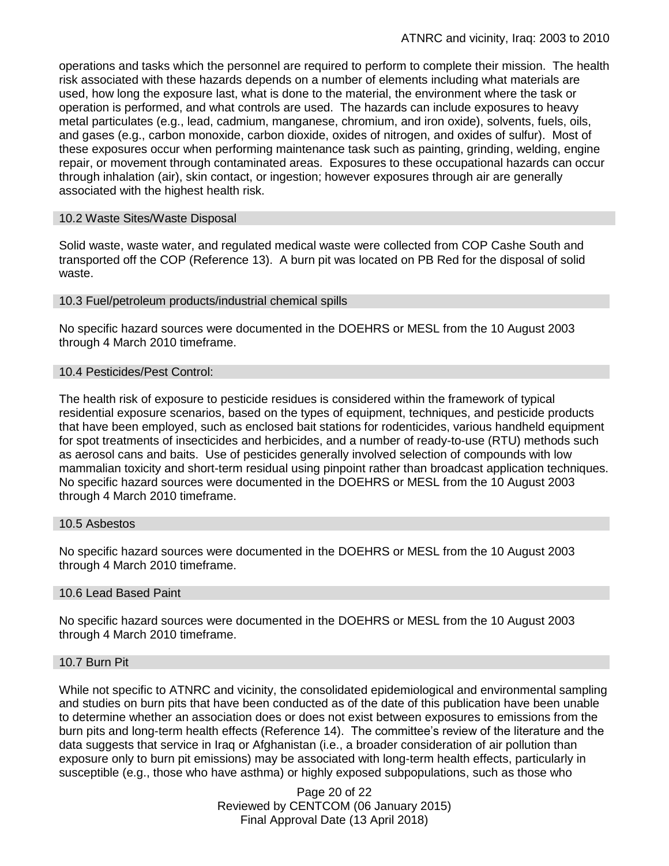operations and tasks which the personnel are required to perform to complete their mission. The health risk associated with these hazards depends on a number of elements including what materials are used, how long the exposure last, what is done to the material, the environment where the task or operation is performed, and what controls are used. The hazards can include exposures to heavy metal particulates (e.g., lead, cadmium, manganese, chromium, and iron oxide), solvents, fuels, oils, and gases (e.g., carbon monoxide, carbon dioxide, oxides of nitrogen, and oxides of sulfur). Most of these exposures occur when performing maintenance task such as painting, grinding, welding, engine repair, or movement through contaminated areas. Exposures to these occupational hazards can occur through inhalation (air), skin contact, or ingestion; however exposures through air are generally associated with the highest health risk.

### 10.2 Waste Sites/Waste Disposal

Solid waste, waste water, and regulated medical waste were collected from COP Cashe South and transported off the COP (Reference 13). A burn pit was located on PB Red for the disposal of solid waste.

### 10.3 Fuel/petroleum products/industrial chemical spills

No specific hazard sources were documented in the DOEHRS or MESL from the 10 August 2003 through 4 March 2010 timeframe.

### 10.4 Pesticides/Pest Control:

The health risk of exposure to pesticide residues is considered within the framework of typical residential exposure scenarios, based on the types of equipment, techniques, and pesticide products that have been employed, such as enclosed bait stations for rodenticides, various handheld equipment for spot treatments of insecticides and herbicides, and a number of ready-to-use (RTU) methods such as aerosol cans and baits. Use of pesticides generally involved selection of compounds with low mammalian toxicity and short-term residual using pinpoint rather than broadcast application techniques. No specific hazard sources were documented in the DOEHRS or MESL from the 10 August 2003 through 4 March 2010 timeframe.

### 10.5 Asbestos

No specific hazard sources were documented in the DOEHRS or MESL from the 10 August 2003 through 4 March 2010 timeframe.

### 10.6 Lead Based Paint

No specific hazard sources were documented in the DOEHRS or MESL from the 10 August 2003 through 4 March 2010 timeframe.

#### 10.7 Burn Pit

While not specific to ATNRC and vicinity, the consolidated epidemiological and environmental sampling and studies on burn pits that have been conducted as of the date of this publication have been unable to determine whether an association does or does not exist between exposures to emissions from the burn pits and long-term health effects (Reference 14). The committee's review of the literature and the data suggests that service in Iraq or Afghanistan (i.e., a broader consideration of air pollution than exposure only to burn pit emissions) may be associated with long-term health effects, particularly in susceptible (e.g., those who have asthma) or highly exposed subpopulations, such as those who

> Page 20 of 22 Reviewed by CENTCOM (06 January 2015) Final Approval Date (13 April 2018)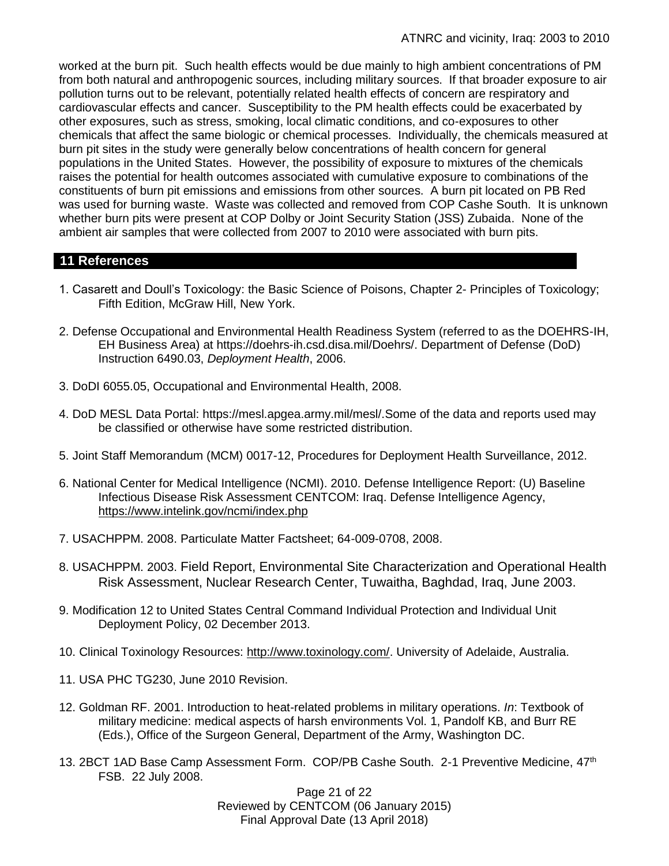worked at the burn pit. Such health effects would be due mainly to high ambient concentrations of PM from both natural and anthropogenic sources, including military sources. If that broader exposure to air pollution turns out to be relevant, potentially related health effects of concern are respiratory and cardiovascular effects and cancer. Susceptibility to the PM health effects could be exacerbated by other exposures, such as stress, smoking, local climatic conditions, and co-exposures to other chemicals that affect the same biologic or chemical processes. Individually, the chemicals measured at burn pit sites in the study were generally below concentrations of health concern for general populations in the United States. However, the possibility of exposure to mixtures of the chemicals raises the potential for health outcomes associated with cumulative exposure to combinations of the constituents of burn pit emissions and emissions from other sources. A burn pit located on PB Red was used for burning waste. Waste was collected and removed from COP Cashe South. It is unknown whether burn pits were present at COP Dolby or Joint Security Station (JSS) Zubaida. None of the ambient air samples that were collected from 2007 to 2010 were associated with burn pits.

# **11 References**

- 1. Casarett and Doull's Toxicology: the Basic Science of Poisons, Chapter 2- Principles of Toxicology; Fifth Edition, McGraw Hill, New York.
- 2. Defense Occupational and Environmental Health Readiness System (referred to as the DOEHRS-IH, EH Business Area) at https://doehrs-ih.csd.disa.mil/Doehrs/. Department of Defense (DoD) Instruction 6490.03, *Deployment Health*, 2006.
- 3. DoDI 6055.05, Occupational and Environmental Health, 2008.
- 4. DoD MESL Data Portal: https://mesl.apgea.army.mil/mesl/.Some of the data and reports used may be classified or otherwise have some restricted distribution.
- 5. Joint Staff Memorandum (MCM) 0017-12, Procedures for Deployment Health Surveillance, 2012.
- 6. National Center for Medical Intelligence (NCMI). 2010. Defense Intelligence Report: (U) Baseline Infectious Disease Risk Assessment CENTCOM: Iraq. Defense Intelligence Agency, <https://www.intelink.gov/ncmi/index.php>
- 7. USACHPPM. 2008. Particulate Matter Factsheet; 64-009-0708, 2008.
- 8. USACHPPM. 2003. Field Report, Environmental Site Characterization and Operational Health Risk Assessment, Nuclear Research Center, Tuwaitha, Baghdad, Iraq, June 2003.
- 9. Modification 12 to United States Central Command Individual Protection and Individual Unit Deployment Policy, 02 December 2013.
- 10. Clinical Toxinology Resources: [http://www.toxinology.com/.](http://www.toxinology.com/) University of Adelaide, Australia.
- 11. USA PHC TG230, June 2010 Revision.
- 12. Goldman RF. 2001. Introduction to heat-related problems in military operations. *In*: Textbook of military medicine: medical aspects of harsh environments Vol. 1, Pandolf KB, and Burr RE (Eds.), Office of the Surgeon General, Department of the Army, Washington DC.
- 13. 2BCT 1AD Base Camp Assessment Form. COP/PB Cashe South. 2-1 Preventive Medicine, 47<sup>th</sup> FSB. 22 July 2008.

Page 21 of 22 Reviewed by CENTCOM (06 January 2015) Final Approval Date (13 April 2018)